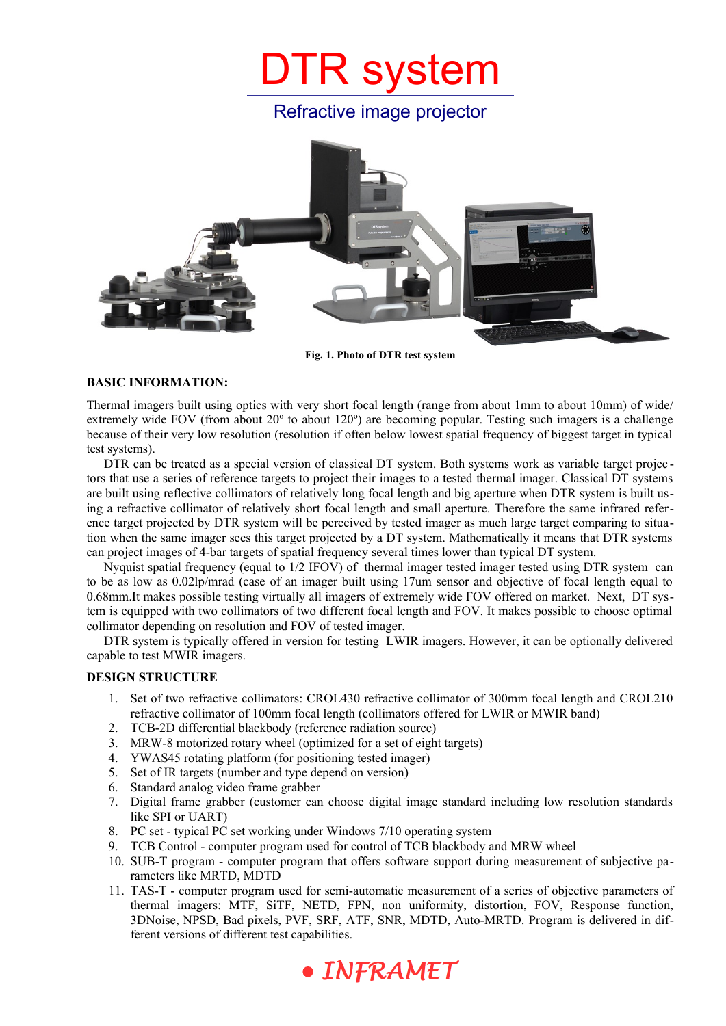# DTR system

Refractive image projector



**Fig. 1. Photo of DTR test system**

### **BASIC INFORMATION:**

Thermal imagers built using optics with very short focal length (range from about 1mm to about 10mm) of wide/ extremely wide FOV (from about 20º to about 120º) are becoming popular. Testing such imagers is a challenge because of their very low resolution (resolution if often below lowest spatial frequency of biggest target in typical test systems).

DTR can be treated as a special version of classical DT system. Both systems work as variable target projec tors that use a series of reference targets to project their images to a tested thermal imager. Classical DT systems are built using reflective collimators of relatively long focal length and big aperture when DTR system is built using a refractive collimator of relatively short focal length and small aperture. Therefore the same infrared reference target projected by DTR system will be perceived by tested imager as much large target comparing to situation when the same imager sees this target projected by a DT system. Mathematically it means that DTR systems can project images of 4-bar targets of spatial frequency several times lower than typical DT system.

Nyquist spatial frequency (equal to 1/2 IFOV) of thermal imager tested imager tested using DTR system can to be as low as 0.02lp/mrad (case of an imager built using 17um sensor and objective of focal length equal to 0.68mm.It makes possible testing virtually all imagers of extremely wide FOV offered on market. Next, DT system is equipped with two collimators of two different focal length and FOV. It makes possible to choose optimal collimator depending on resolution and FOV of tested imager.

DTR system is typically offered in version for testing LWIR imagers. However, it can be optionally delivered capable to test MWIR imagers.

#### **DESIGN STRUCTURE**

- 1. Set of two refractive collimators: CROL430 refractive collimator of 300mm focal length and CROL210 refractive collimator of 100mm focal length (collimators offered for LWIR or MWIR band)
- 2. TCB-2D differential blackbody (reference radiation source)
- 3. MRW-8 motorized rotary wheel (optimized for a set of eight targets)
- 4. YWAS45 rotating platform (for positioning tested imager)
- 5. Set of IR targets (number and type depend on version)
- 6. Standard analog video frame grabber
- 7. Digital frame grabber (customer can choose digital image standard including low resolution standards like SPI or UART)
- 8. PC set typical PC set working under Windows 7/10 operating system
- 9. TCB Control computer program used for control of TCB blackbody and MRW wheel
- 10. SUB-T program computer program that offers software support during measurement of subjective parameters like MRTD, MDTD
- 11. TAS-T computer program used for semi-automatic measurement of a series of objective parameters of thermal imagers: MTF, SiTF, NETD, FPN, non uniformity, distortion, FOV, Response function, 3DNoise, NPSD, Bad pixels, PVF, SRF, ATF, SNR, MDTD, Auto-MRTD. Program is delivered in different versions of different test capabilities.

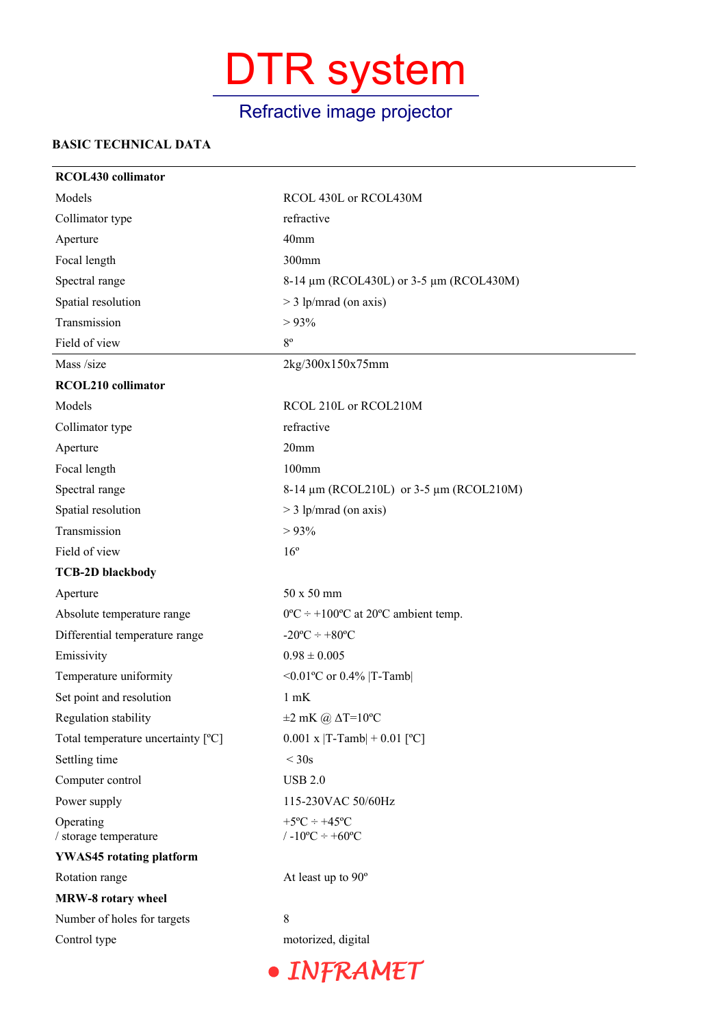## DTR system

## Refractive image projector

### **BASIC TECHNICAL DATA**

| <b>RCOL430</b> collimator          |                                                          |
|------------------------------------|----------------------------------------------------------|
| Models                             | RCOL 430L or RCOL430M                                    |
| Collimator type                    | refractive                                               |
| Aperture                           | 40mm                                                     |
| Focal length                       | 300mm                                                    |
| Spectral range                     | 8-14 μm (RCOL430L) or 3-5 μm (RCOL430M)                  |
| Spatial resolution                 | $>$ 3 lp/mrad (on axis)                                  |
| Transmission                       | $> 93\%$                                                 |
| Field of view                      | $8^{\circ}$                                              |
| Mass /size                         | 2kg/300x150x75mm                                         |
| RCOL210 collimator                 |                                                          |
| Models                             | RCOL 210L or RCOL210M                                    |
| Collimator type                    | refractive                                               |
| Aperture                           | 20 <sub>mm</sub>                                         |
| Focal length                       | 100mm                                                    |
| Spectral range                     | 8-14 μm (RCOL210L) or 3-5 μm (RCOL210M)                  |
| Spatial resolution                 | $>$ 3 lp/mrad (on axis)                                  |
| Transmission                       | $> 93\%$                                                 |
| Field of view                      | $16^{\circ}$                                             |
| <b>TCB-2D blackbody</b>            |                                                          |
| Aperture                           | 50 x 50 mm                                               |
| Absolute temperature range         | $0^{\circ}$ C ÷ +100°C at 20°C ambient temp.             |
| Differential temperature range     | $-20^{\circ}$ C $\div$ +80 $^{\circ}$ C                  |
| Emissivity                         | $0.98 \pm 0.005$                                         |
| Temperature uniformity             | <0.01°C or 0.4%  T-Tamb                                  |
| Set point and resolution           | $1$ mK                                                   |
| Regulation stability               | $\pm 2$ mK @ $\Delta T = 10$ °C                          |
| Total temperature uncertainty [°C] | $0.001$ x  T-Tamb  + 0.01 [°C]                           |
| Settling time                      | $<$ 30s                                                  |
| Computer control                   | <b>USB 2.0</b>                                           |
| Power supply                       | 115-230VAC 50/60Hz                                       |
| Operating<br>/ storage temperature | $+5$ °C ÷ $+45$ °C<br>/ $-10^{\circ}C \div +60^{\circ}C$ |
| <b>YWAS45</b> rotating platform    |                                                          |
| Rotation range                     | At least up to 90°                                       |
| <b>MRW-8 rotary wheel</b>          |                                                          |
| Number of holes for targets        | 8                                                        |
| Control type                       | motorized, digital                                       |